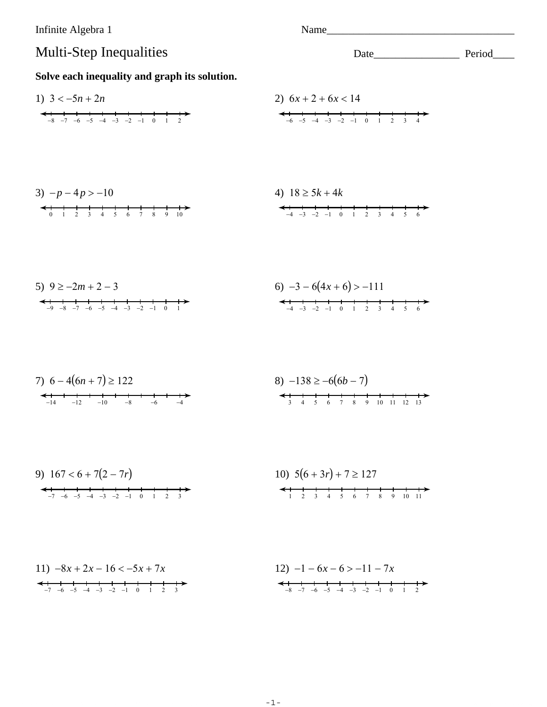Infinite Algebra 1 Name Multi-Step Inequalities Solve each inequality and graph its solution. 1)  $3 < -5n + 2n$ 2)  $6x + 2 + 6x < 14$  $-8$   $-7$   $-6$   $-5$   $-4$   $-3$   $-2$   $-1$  0 1 2  $\leftarrow$   $\leftarrow$   $\leftarrow$   $\leftarrow$   $\leftarrow$   $\leftarrow$   $\leftarrow$   $\leftarrow$   $\leftarrow$   $\leftarrow$   $\leftarrow$   $\leftarrow$   $\leftarrow$   $\leftarrow$   $\leftarrow$   $\leftarrow$   $\leftarrow$   $\leftarrow$   $\leftarrow$   $\leftarrow$   $\leftarrow$   $\leftarrow$   $\leftarrow$   $\leftarrow$   $\leftarrow$   $\leftarrow$   $\leftarrow$   $\leftarrow$   $\leftarrow$   $\leftarrow$   $\leftarrow$   $\leftarrow$   $\leftarrow$   $\leftarrow$   $\leftarrow$   $\leftarrow$   $\leftarrow$  $3) - p - 4p > -10$ 4)  $18 \ge 5k + 4k$  $-4$   $-3$   $-2$   $-1$  0 1 2 3 4 5 6 6)  $-3 - 6(4x + 6) > -111$ 5)  $9 \ge -2m + 2 - 3$  $-4$   $-3$   $-2$   $-1$  0 1 2 3 4 5 6  $-9$   $-8$   $-7$   $-6$   $-5$   $-4$   $-3$   $-2$   $-1$  0 1 7)  $6-4(6n+7) \ge 122$ 8)  $-138 \ge -6(6b - 7)$  $-14$   $-12$  $\frac{1}{-10}$   $\frac{1}{-8}$  $\frac{1}{-6}$ 9)  $167 < 6 + 7(2 - 7r)$ 10)  $5(6+3r) + 7 \ge 127$  $-7$  -6 -5 -4 -3 -2 -1 0 1 2 3 1 2 3 4 5 6 7 8 9 10 11

11) 
$$
-8x + 2x - 16 < -5x + 7x
$$
  
\n $-7 -6 -5 -4 -3 -2 -1 0 1 2 3$   
\n12)  $-1 - 6x - 6 > -11 - 7x$   
\n $-8 -7 -6 -5 -4 -3 -2 -1 0 1 2$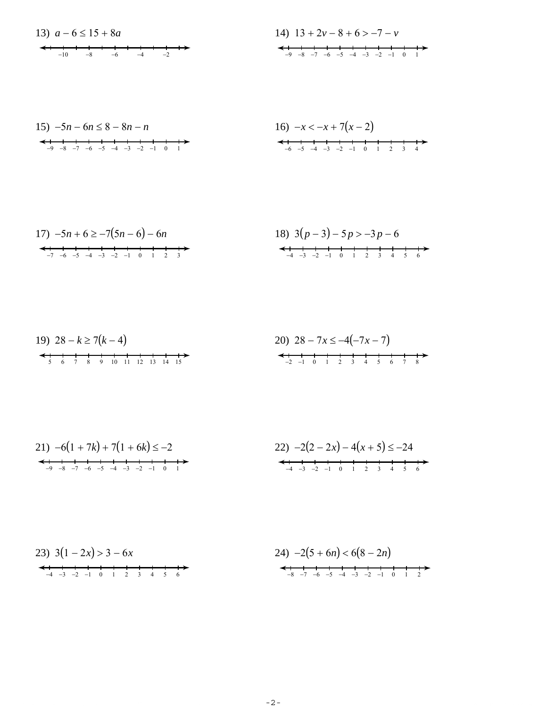14) 
$$
13 + 2v - 8 + 6 > -7 - v
$$
  
\n $\leftarrow$  1  
\n $\rightarrow$  3  
\n $\rightarrow$  4  
\n $\rightarrow$  5  
\n $\rightarrow$  6  
\n $\rightarrow$  5  
\n $\rightarrow$  4  
\n $\rightarrow$  3  
\n $\rightarrow$  2  
\n $\rightarrow$  1  
\n0  
\n1

15) 
$$
-5n - 6n \leq 8 - 8n - n
$$

16) 
$$
-x < -x + 7(x - 2)
$$
  
  
 $-6$   $-5$   $-4$   $-3$   $-2$   $-1$   $0$   $1$   $2$   $3$   $4$ 

17) 
$$
-5n + 6 \ge -7(5n - 6) - 6n
$$
  
\n $\leftarrow$  18)  $3(p - 3) - 5p > -3p - 6$   
\n $\leftarrow$  18)  $3(p - 3) - 5p > -3p - 6$ 

23) 
$$
3(1-2x) > 3-6x
$$
  
\n4  $-3$   $-2$   $-1$  0 1 2 3 4 5 6  
\n4  $-4$   $-3$   $-2$   $-1$  0 1 2 3 4 5 6  
\n24)  $-2(5 + 6n) < 6(8 - 2n)$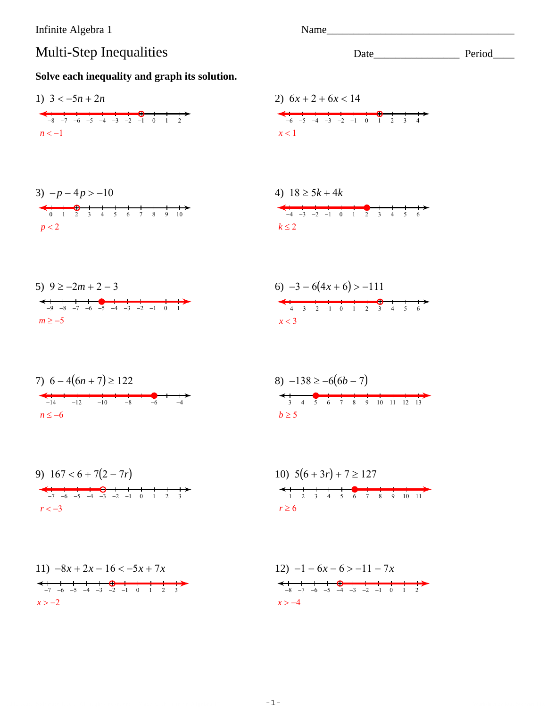Infinite Algebra 1

## Multi-Step Inequalities

Solve each inequality and graph its solution.

1) 
$$
3 < -5n + 2n
$$
  
\n2)  $6x + 2 + 6x < 14$   
\n3)  $-p - 4p > -10$   
\n4)  $18 \ge 5k + 4k$   
\n $p < 2$   
\n5)  $9 \ge -2m + 2 - 3$   
\n $p \ge -5$   
\n6)  $-3 - 6(4x + 6) > -111$   
\n $p \ge -5$   
\n $p \ge -5$   
\n $p \ge -2m + 2 - 3$   
\n $p \ge -5$   
\n $p \ge -5$   
\n $p \ge -2m + 2 - 3$   
\n $p \ge -5$   
\n $p \ge -5$   
\n $p \ge -5$   
\n $p \ge -7$   
\n $p \ge -7$   
\n $p \ge -7$   
\n $p \ge -7$   
\n $p \ge -7$   
\n $p \ge -7$   
\n $p \ge -7$   
\n $p \ge -7$   
\n $p \ge -7$   
\n $p \ge -7$   
\n $p \ge -7$   
\n $p \ge -7$   
\n $p \ge -7$   
\n $p \ge -7$   
\n $p \ge -7$   
\n $p \ge -7$   
\n $p \ge -7$   
\n $p \ge -7$   
\n $p \ge -7$   
\n $p \ge -7$   
\n $p \ge -7$   
\n $p \ge -7$   
\n $p \ge -7$   
\n $p \ge -7$   
\n $p \ge -7$   
\n $p \ge -7$   
\n $p \ge -7$   
\n $p \ge -7$   
\n $p \ge -7$   
\n $p \ge 7$   
\n $p \ge 7$   
\n $p \ge 7$   
\n $p \ge 7$   
\n $p \ge 7$   
\n $p \ge 7$   
\n $p \ge 7$   
\n $p \ge$